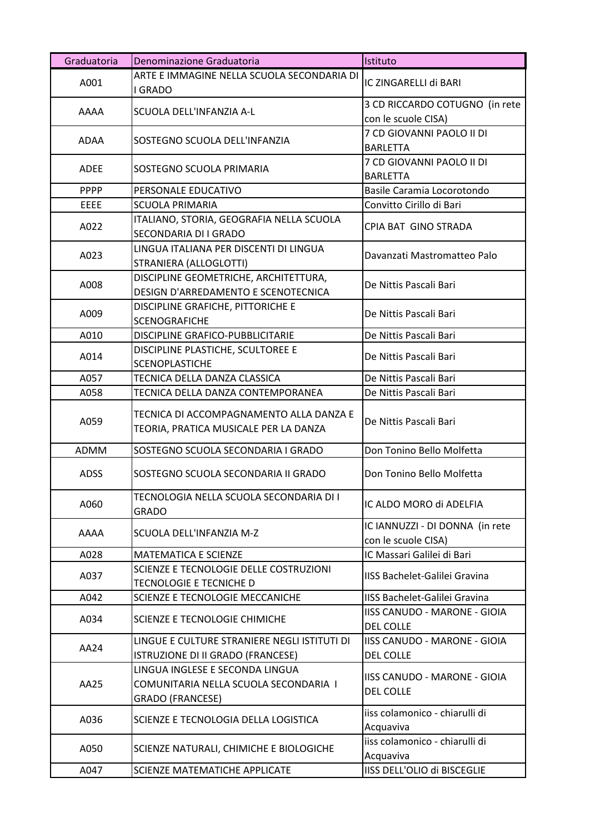| Graduatoria | Denominazione Graduatoria                                                                    | Istituto                                                |
|-------------|----------------------------------------------------------------------------------------------|---------------------------------------------------------|
| A001        | ARTE E IMMAGINE NELLA SCUOLA SECONDARIA DI<br>I GRADO                                        | IC ZINGARELLI di BARI                                   |
| AAAA        | SCUOLA DELL'INFANZIA A-L                                                                     | 3 CD RICCARDO COTUGNO (in rete<br>con le scuole CISA)   |
| ADAA        | SOSTEGNO SCUOLA DELL'INFANZIA                                                                | 7 CD GIOVANNI PAOLO II DI<br><b>BARLETTA</b>            |
| <b>ADEE</b> | SOSTEGNO SCUOLA PRIMARIA                                                                     | 7 CD GIOVANNI PAOLO II DI<br><b>BARLETTA</b>            |
| <b>PPPP</b> | PERSONALE EDUCATIVO                                                                          | Basile Caramia Locorotondo                              |
| <b>EEEE</b> | <b>SCUOLA PRIMARIA</b>                                                                       | Convitto Cirillo di Bari                                |
| A022        | ITALIANO, STORIA, GEOGRAFIA NELLA SCUOLA<br>SECONDARIA DI I GRADO                            | CPIA BAT GINO STRADA                                    |
| A023        | LINGUA ITALIANA PER DISCENTI DI LINGUA<br>STRANIERA (ALLOGLOTTI)                             | Davanzati Mastromatteo Palo                             |
| A008        | DISCIPLINE GEOMETRICHE, ARCHITETTURA,<br>DESIGN D'ARREDAMENTO E SCENOTECNICA                 | De Nittis Pascali Bari                                  |
| A009        | DISCIPLINE GRAFICHE, PITTORICHE E<br><b>SCENOGRAFICHE</b>                                    | De Nittis Pascali Bari                                  |
| A010        | DISCIPLINE GRAFICO-PUBBLICITARIE                                                             | De Nittis Pascali Bari                                  |
| A014        | DISCIPLINE PLASTICHE, SCULTOREE E<br><b>SCENOPLASTICHE</b>                                   | De Nittis Pascali Bari                                  |
| A057        | TECNICA DELLA DANZA CLASSICA                                                                 | De Nittis Pascali Bari                                  |
| A058        | TECNICA DELLA DANZA CONTEMPORANEA                                                            | De Nittis Pascali Bari                                  |
| A059        | TECNICA DI ACCOMPAGNAMENTO ALLA DANZA E<br>TEORIA, PRATICA MUSICALE PER LA DANZA             | De Nittis Pascali Bari                                  |
| ADMM        | SOSTEGNO SCUOLA SECONDARIA I GRADO                                                           | Don Tonino Bello Molfetta                               |
| <b>ADSS</b> | SOSTEGNO SCUOLA SECONDARIA II GRADO                                                          | Don Tonino Bello Molfetta                               |
| A060        | TECNOLOGIA NELLA SCUOLA SECONDARIA DI I<br>GRADO                                             | IC ALDO MORO di ADELFIA                                 |
| AAAA        | SCUOLA DELL'INFANZIA M-Z                                                                     | IC IANNUZZI - DI DONNA (in rete<br>con le scuole CISA)  |
| A028        | <b>MATEMATICA E SCIENZE</b>                                                                  | IC Massari Galilei di Bari                              |
| A037        | SCIENZE E TECNOLOGIE DELLE COSTRUZIONI<br>TECNOLOGIE E TECNICHE D                            | IISS Bachelet-Galilei Gravina                           |
| A042        | SCIENZE E TECNOLOGIE MECCANICHE                                                              | IISS Bachelet-Galilei Gravina                           |
| A034        | SCIENZE E TECNOLOGIE CHIMICHE                                                                | IISS CANUDO - MARONE - GIOIA<br><b>DEL COLLE</b>        |
| AA24        | LINGUE E CULTURE STRANIERE NEGLI ISTITUTI DI<br>ISTRUZIONE DI II GRADO (FRANCESE)            | <b>IISS CANUDO - MARONE - GIOIA</b><br><b>DEL COLLE</b> |
| AA25        | LINGUA INGLESE E SECONDA LINGUA<br>COMUNITARIA NELLA SCUOLA SECONDARIA I<br>GRADO (FRANCESE) | IISS CANUDO - MARONE - GIOIA<br><b>DEL COLLE</b>        |
| A036        | SCIENZE E TECNOLOGIA DELLA LOGISTICA                                                         | iiss colamonico - chiarulli di<br>Acquaviva             |
| A050        | SCIENZE NATURALI, CHIMICHE E BIOLOGICHE                                                      | iiss colamonico - chiarulli di<br>Acquaviva             |
| A047        | SCIENZE MATEMATICHE APPLICATE                                                                | IISS DELL'OLIO di BISCEGLIE                             |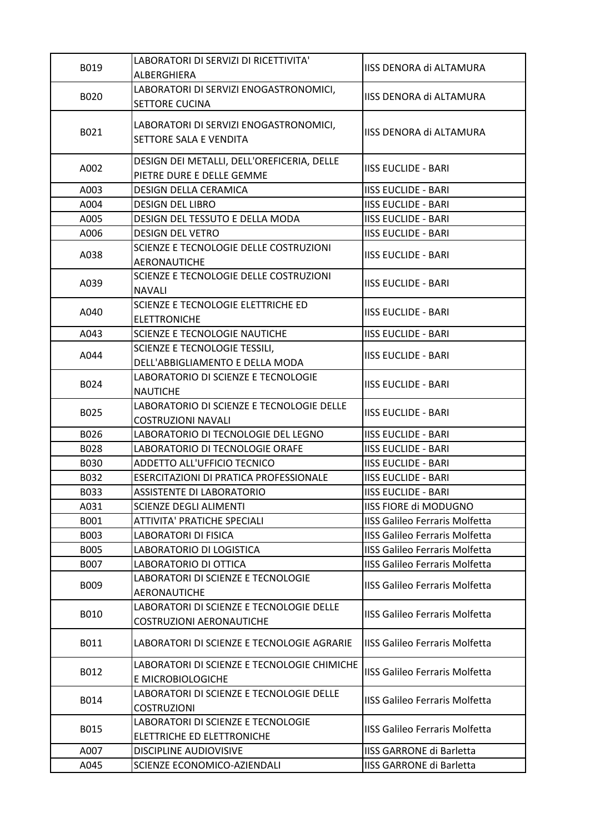| B019        | LABORATORI DI SERVIZI DI RICETTIVITA'<br>ALBERGHIERA                                 | IISS DENORA di ALTAMURA               |
|-------------|--------------------------------------------------------------------------------------|---------------------------------------|
| B020        | LABORATORI DI SERVIZI ENOGASTRONOMICI,                                               | IISS DENORA di ALTAMURA               |
|             | <b>SETTORE CUCINA</b>                                                                |                                       |
| B021        | LABORATORI DI SERVIZI ENOGASTRONOMICI,<br>SETTORE SALA E VENDITA                     | IISS DENORA di ALTAMURA               |
| A002        | DESIGN DEI METALLI, DELL'OREFICERIA, DELLE<br>PIETRE DURE E DELLE GEMME              | <b>IISS EUCLIDE - BARI</b>            |
| A003        | <b>DESIGN DELLA CERAMICA</b>                                                         | <b>IISS EUCLIDE - BARI</b>            |
| A004        | <b>DESIGN DEL LIBRO</b>                                                              | <b>IISS EUCLIDE - BARI</b>            |
| A005        | DESIGN DEL TESSUTO E DELLA MODA                                                      | <b>IISS EUCLIDE - BARI</b>            |
| A006        | <b>DESIGN DEL VETRO</b>                                                              | <b>IISS EUCLIDE - BARI</b>            |
| A038        | SCIENZE E TECNOLOGIE DELLE COSTRUZIONI<br><b>AERONAUTICHE</b>                        | <b>IISS EUCLIDE - BARI</b>            |
| A039        | SCIENZE E TECNOLOGIE DELLE COSTRUZIONI                                               | <b>IISS EUCLIDE - BARI</b>            |
| A040        | <b>NAVALI</b><br>SCIENZE E TECNOLOGIE ELETTRICHE ED                                  | <b>IISS EUCLIDE - BARI</b>            |
|             | <b>ELETTRONICHE</b>                                                                  |                                       |
| A043        | SCIENZE E TECNOLOGIE NAUTICHE                                                        | <b>IISS EUCLIDE - BARI</b>            |
| A044        | SCIENZE E TECNOLOGIE TESSILI,<br>DELL'ABBIGLIAMENTO E DELLA MODA                     | <b>IISS EUCLIDE - BARI</b>            |
| B024        | LABORATORIO DI SCIENZE E TECNOLOGIE<br><b>NAUTICHE</b>                               | <b>IISS EUCLIDE - BARI</b>            |
| B025        | LABORATORIO DI SCIENZE E TECNOLOGIE DELLE<br><b>COSTRUZIONI NAVALI</b>               | <b>IISS EUCLIDE - BARI</b>            |
| B026        | LABORATORIO DI TECNOLOGIE DEL LEGNO                                                  | <b>IISS EUCLIDE - BARI</b>            |
| B028        | LABORATORIO DI TECNOLOGIE ORAFE                                                      | <b>IISS EUCLIDE - BARI</b>            |
| <b>B030</b> | ADDETTO ALL'UFFICIO TECNICO                                                          | <b>IISS EUCLIDE - BARI</b>            |
| B032        | ESERCITAZIONI DI PRATICA PROFESSIONALE                                               | <b>IISS EUCLIDE - BARI</b>            |
| B033        | <b>ASSISTENTE DI LABORATORIO</b>                                                     | <b>IISS EUCLIDE - BARI</b>            |
| A031        | <b>SCIENZE DEGLI ALIMENTI</b>                                                        | <b>IISS FIORE di MODUGNO</b>          |
| B001        | <b>ATTIVITA' PRATICHE SPECIALI</b>                                                   | <b>IISS Galileo Ferraris Molfetta</b> |
| B003        | <b>LABORATORI DI FISICA</b>                                                          | <b>IISS Galileo Ferraris Molfetta</b> |
| B005        | LABORATORIO DI LOGISTICA                                                             | <b>IISS Galileo Ferraris Molfetta</b> |
| B007        | LABORATORIO DI OTTICA                                                                | <b>IISS Galileo Ferraris Molfetta</b> |
| B009        | LABORATORI DI SCIENZE E TECNOLOGIE                                                   | <b>IISS Galileo Ferraris Molfetta</b> |
| B010        | AERONAUTICHE<br>LABORATORI DI SCIENZE E TECNOLOGIE DELLE<br>COSTRUZIONI AERONAUTICHE | <b>IISS Galileo Ferraris Molfetta</b> |
| B011        | LABORATORI DI SCIENZE E TECNOLOGIE AGRARIE                                           | <b>IISS Galileo Ferraris Molfetta</b> |
| B012        | LABORATORI DI SCIENZE E TECNOLOGIE CHIMICHE<br>E MICROBIOLOGICHE                     | <b>IISS Galileo Ferraris Molfetta</b> |
| B014        | LABORATORI DI SCIENZE E TECNOLOGIE DELLE<br><b>COSTRUZIONI</b>                       | <b>IISS Galileo Ferraris Molfetta</b> |
| B015        | LABORATORI DI SCIENZE E TECNOLOGIE<br>ELETTRICHE ED ELETTRONICHE                     | <b>IISS Galileo Ferraris Molfetta</b> |
| A007        | <b>DISCIPLINE AUDIOVISIVE</b>                                                        | <b>IISS GARRONE di Barletta</b>       |
| A045        | SCIENZE ECONOMICO-AZIENDALI                                                          | <b>IISS GARRONE di Barletta</b>       |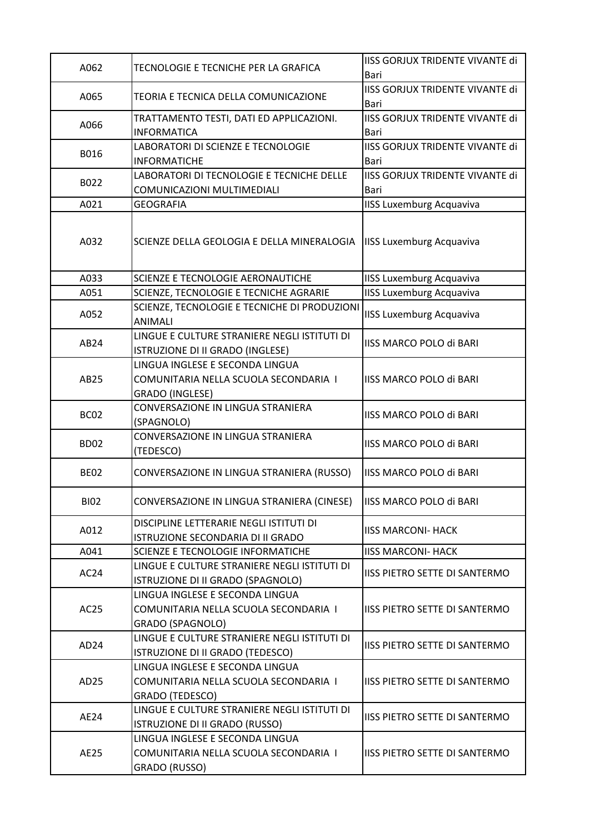| A062             | TECNOLOGIE E TECNICHE PER LA GRAFICA                                                                | IISS GORJUX TRIDENTE VIVANTE di<br>Bari        |
|------------------|-----------------------------------------------------------------------------------------------------|------------------------------------------------|
| A065             | TEORIA E TECNICA DELLA COMUNICAZIONE                                                                | IISS GORJUX TRIDENTE VIVANTE di<br>Bari        |
| A066             | TRATTAMENTO TESTI, DATI ED APPLICAZIONI.<br><b>INFORMATICA</b>                                      | IISS GORJUX TRIDENTE VIVANTE di<br>Bari        |
| B016             | LABORATORI DI SCIENZE E TECNOLOGIE<br><b>INFORMATICHE</b>                                           | <b>IISS GORJUX TRIDENTE VIVANTE di</b><br>Bari |
| B022             | LABORATORI DI TECNOLOGIE E TECNICHE DELLE<br>COMUNICAZIONI MULTIMEDIALI                             | <b>IISS GORJUX TRIDENTE VIVANTE di</b><br>Bari |
| A021             | <b>GEOGRAFIA</b>                                                                                    | <b>IISS Luxemburg Acquaviva</b>                |
| A032             | SCIENZE DELLA GEOLOGIA E DELLA MINERALOGIA                                                          | <b>IISS Luxemburg Acquaviva</b>                |
| A033             | SCIENZE E TECNOLOGIE AERONAUTICHE                                                                   | <b>IISS Luxemburg Acquaviva</b>                |
| A051             | SCIENZE, TECNOLOGIE E TECNICHE AGRARIE                                                              | <b>IISS Luxemburg Acquaviva</b>                |
| A052             | SCIENZE, TECNOLOGIE E TECNICHE DI PRODUZIONI<br><b>ANIMALI</b>                                      | <b>IISS Luxemburg Acquaviva</b>                |
| AB24             | LINGUE E CULTURE STRANIERE NEGLI ISTITUTI DI<br>ISTRUZIONE DI II GRADO (INGLESE)                    | IISS MARCO POLO di BARI                        |
| AB25             | LINGUA INGLESE E SECONDA LINGUA<br>COMUNITARIA NELLA SCUOLA SECONDARIA I<br>GRADO (INGLESE)         | IISS MARCO POLO di BARI                        |
| BC <sub>02</sub> | CONVERSAZIONE IN LINGUA STRANIERA<br>(SPAGNOLO)                                                     | IISS MARCO POLO di BARI                        |
| <b>BD02</b>      | CONVERSAZIONE IN LINGUA STRANIERA<br>(TEDESCO)                                                      | <b>IISS MARCO POLO di BARI</b>                 |
| <b>BE02</b>      | CONVERSAZIONE IN LINGUA STRANIERA (RUSSO)                                                           | <b>IISS MARCO POLO di BARI</b>                 |
| <b>BI02</b>      | CONVERSAZIONE IN LINGUA STRANIERA (CINESE)                                                          | <b>IISS MARCO POLO di BARI</b>                 |
| A012             | DISCIPLINE LETTERARIE NEGLI ISTITUTI DI<br>ISTRUZIONE SECONDARIA DI II GRADO                        | <b>IISS MARCONI- HACK</b>                      |
| A041             | SCIENZE E TECNOLOGIE INFORMATICHE                                                                   | <b>IISS MARCONI- HACK</b>                      |
| AC24             | LINGUE E CULTURE STRANIERE NEGLI ISTITUTI DI<br>ISTRUZIONE DI II GRADO (SPAGNOLO)                   | <b>IISS PIETRO SETTE DI SANTERMO</b>           |
| AC <sub>25</sub> | LINGUA INGLESE E SECONDA LINGUA<br>COMUNITARIA NELLA SCUOLA SECONDARIA I<br><b>GRADO (SPAGNOLO)</b> | <b>IISS PIETRO SETTE DI SANTERMO</b>           |
| AD <sub>24</sub> | LINGUE E CULTURE STRANIERE NEGLI ISTITUTI DI<br>ISTRUZIONE DI II GRADO (TEDESCO)                    | IISS PIETRO SETTE DI SANTERMO                  |
| AD <sub>25</sub> | LINGUA INGLESE E SECONDA LINGUA<br>COMUNITARIA NELLA SCUOLA SECONDARIA I<br>GRADO (TEDESCO)         | <b>IISS PIETRO SETTE DI SANTERMO</b>           |
| AE24             | LINGUE E CULTURE STRANIERE NEGLI ISTITUTI DI<br>ISTRUZIONE DI II GRADO (RUSSO)                      | IISS PIETRO SETTE DI SANTERMO                  |
| AE25             | LINGUA INGLESE E SECONDA LINGUA<br>COMUNITARIA NELLA SCUOLA SECONDARIA I<br>GRADO (RUSSO)           | <b>IISS PIETRO SETTE DI SANTERMO</b>           |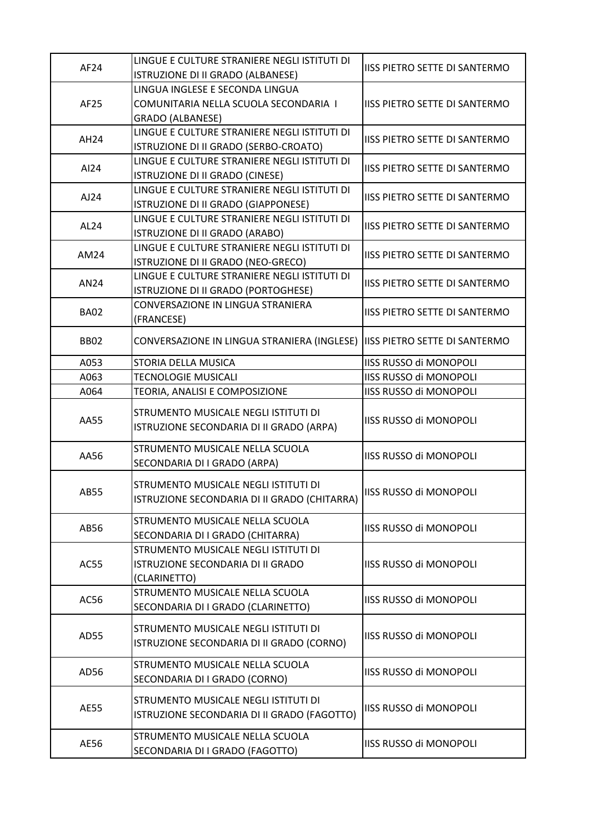| AF24        | LINGUE E CULTURE STRANIERE NEGLI ISTITUTI DI<br>ISTRUZIONE DI II GRADO (ALBANESE) | <b>IISS PIETRO SETTE DI SANTERMO</b> |
|-------------|-----------------------------------------------------------------------------------|--------------------------------------|
|             | LINGUA INGLESE E SECONDA LINGUA                                                   |                                      |
| AF25        | COMUNITARIA NELLA SCUOLA SECONDARIA I                                             | <b>IISS PIETRO SETTE DI SANTERMO</b> |
|             |                                                                                   |                                      |
|             | <b>GRADO (ALBANESE)</b>                                                           |                                      |
| <b>AH24</b> | LINGUE E CULTURE STRANIERE NEGLI ISTITUTI DI                                      | <b>IISS PIETRO SETTE DI SANTERMO</b> |
|             | ISTRUZIONE DI II GRADO (SERBO-CROATO)                                             |                                      |
| AI24        | LINGUE E CULTURE STRANIERE NEGLI ISTITUTI DI                                      | <b>IISS PIETRO SETTE DI SANTERMO</b> |
|             | ISTRUZIONE DI II GRADO (CINESE)                                                   |                                      |
| AJ24        | LINGUE E CULTURE STRANIERE NEGLI ISTITUTI DI                                      | <b>IISS PIETRO SETTE DI SANTERMO</b> |
|             | ISTRUZIONE DI II GRADO (GIAPPONESE)                                               |                                      |
| AL24        | LINGUE E CULTURE STRANIERE NEGLI ISTITUTI DI                                      | <b>IISS PIETRO SETTE DI SANTERMO</b> |
|             | ISTRUZIONE DI II GRADO (ARABO)                                                    |                                      |
| AM24        | LINGUE E CULTURE STRANIERE NEGLI ISTITUTI DI                                      | <b>IISS PIETRO SETTE DI SANTERMO</b> |
|             | ISTRUZIONE DI II GRADO (NEO-GRECO)                                                |                                      |
| AN24        | LINGUE E CULTURE STRANIERE NEGLI ISTITUTI DI                                      | <b>IISS PIETRO SETTE DI SANTERMO</b> |
|             | ISTRUZIONE DI II GRADO (PORTOGHESE)                                               |                                      |
| <b>BA02</b> | CONVERSAZIONE IN LINGUA STRANIERA                                                 | <b>IISS PIETRO SETTE DI SANTERMO</b> |
|             | (FRANCESE)                                                                        |                                      |
|             |                                                                                   | <b>IISS PIETRO SETTE DI SANTERMO</b> |
| <b>BB02</b> | CONVERSAZIONE IN LINGUA STRANIERA (INGLESE)                                       |                                      |
| A053        | STORIA DELLA MUSICA                                                               | IISS RUSSO di MONOPOLI               |
| A063        | <b>TECNOLOGIE MUSICALI</b>                                                        | IISS RUSSO di MONOPOLI               |
| A064        | TEORIA, ANALISI E COMPOSIZIONE                                                    | <b>IISS RUSSO di MONOPOLI</b>        |
|             |                                                                                   |                                      |
| AA55        | STRUMENTO MUSICALE NEGLI ISTITUTI DI                                              | IISS RUSSO di MONOPOLI               |
|             | ISTRUZIONE SECONDARIA DI II GRADO (ARPA)                                          |                                      |
|             | STRUMENTO MUSICALE NELLA SCUOLA                                                   |                                      |
| AA56        | SECONDARIA DI I GRADO (ARPA)                                                      | <b>IISS RUSSO di MONOPOLI</b>        |
|             |                                                                                   | IISS RUSSO di MONOPOLI               |
| AB55        | STRUMENTO MUSICALE NEGLI ISTITUTI DI                                              |                                      |
|             | ISTRUZIONE SECONDARIA DI II GRADO (CHITARRA)                                      |                                      |
|             | STRUMENTO MUSICALE NELLA SCUOLA                                                   |                                      |
| AB56        | SECONDARIA DI I GRADO (CHITARRA)                                                  | IISS RUSSO di MONOPOLI               |
|             | STRUMENTO MUSICALE NEGLI ISTITUTI DI                                              |                                      |
| AC55        | ISTRUZIONE SECONDARIA DI II GRADO                                                 | IISS RUSSO di MONOPOLI               |
|             | (CLARINETTO)                                                                      |                                      |
|             | STRUMENTO MUSICALE NELLA SCUOLA                                                   |                                      |
| AC56        | SECONDARIA DI I GRADO (CLARINETTO)                                                | IISS RUSSO di MONOPOLI               |
|             |                                                                                   |                                      |
|             | STRUMENTO MUSICALE NEGLI ISTITUTI DI                                              |                                      |
| AD55        | ISTRUZIONE SECONDARIA DI II GRADO (CORNO)                                         | IISS RUSSO di MONOPOLI               |
| AD56        |                                                                                   |                                      |
|             | STRUMENTO MUSICALE NELLA SCUOLA                                                   | IISS RUSSO di MONOPOLI               |
|             | SECONDARIA DI I GRADO (CORNO)                                                     |                                      |
| AE55        | STRUMENTO MUSICALE NEGLI ISTITUTI DI                                              |                                      |
|             | ISTRUZIONE SECONDARIA DI II GRADO (FAGOTTO)                                       | IISS RUSSO di MONOPOLI               |
|             |                                                                                   |                                      |
| AE56        | STRUMENTO MUSICALE NELLA SCUOLA                                                   | IISS RUSSO di MONOPOLI               |
|             | SECONDARIA DI I GRADO (FAGOTTO)                                                   |                                      |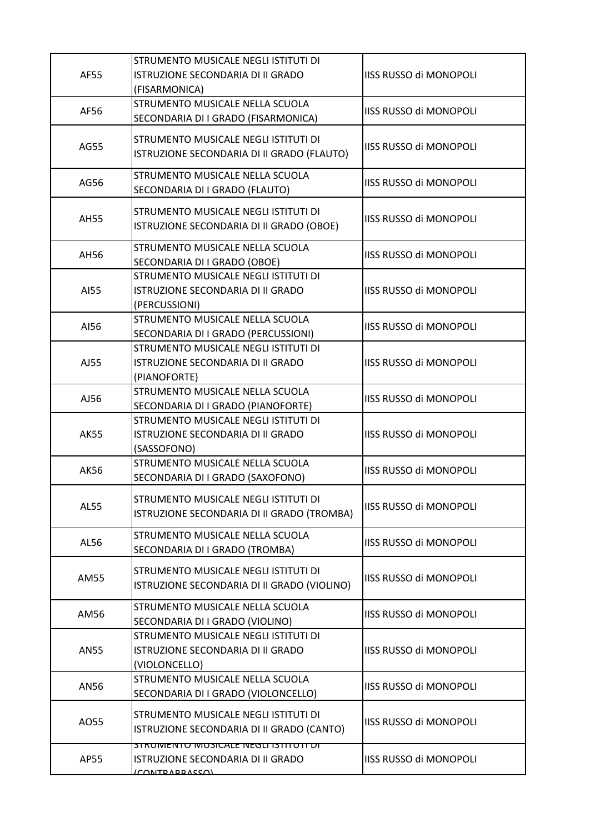| AF55        | STRUMENTO MUSICALE NEGLI ISTITUTI DI<br><b>ISTRUZIONE SECONDARIA DI II GRADO</b><br>(FISARMONICA)    | <b>IISS RUSSO di MONOPOLI</b> |
|-------------|------------------------------------------------------------------------------------------------------|-------------------------------|
| AF56        | STRUMENTO MUSICALE NELLA SCUOLA<br>SECONDARIA DI I GRADO (FISARMONICA)                               | <b>IISS RUSSO di MONOPOLI</b> |
| AG55        | STRUMENTO MUSICALE NEGLI ISTITUTI DI<br>ISTRUZIONE SECONDARIA DI II GRADO (FLAUTO)                   | <b>IISS RUSSO di MONOPOLI</b> |
| AG56        | STRUMENTO MUSICALE NELLA SCUOLA<br>SECONDARIA DI I GRADO (FLAUTO)                                    | <b>IISS RUSSO di MONOPOLI</b> |
| <b>AH55</b> | STRUMENTO MUSICALE NEGLI ISTITUTI DI<br>ISTRUZIONE SECONDARIA DI II GRADO (OBOE)                     | <b>IISS RUSSO di MONOPOLI</b> |
| AH56        | STRUMENTO MUSICALE NELLA SCUOLA<br>SECONDARIA DI I GRADO (OBOE)                                      | <b>IISS RUSSO di MONOPOLI</b> |
| AI55        | STRUMENTO MUSICALE NEGLI ISTITUTI DI<br>ISTRUZIONE SECONDARIA DI II GRADO<br>(PERCUSSIONI)           | <b>IISS RUSSO di MONOPOLI</b> |
| AI56        | STRUMENTO MUSICALE NELLA SCUOLA<br>SECONDARIA DI I GRADO (PERCUSSIONI)                               | <b>IISS RUSSO di MONOPOLI</b> |
| AJ55        | STRUMENTO MUSICALE NEGLI ISTITUTI DI<br>ISTRUZIONE SECONDARIA DI II GRADO<br>(PIANOFORTE)            | <b>IISS RUSSO di MONOPOLI</b> |
| AJ56        | STRUMENTO MUSICALE NELLA SCUOLA<br>SECONDARIA DI I GRADO (PIANOFORTE)                                | <b>IISS RUSSO di MONOPOLI</b> |
| <b>AK55</b> | STRUMENTO MUSICALE NEGLI ISTITUTI DI<br>ISTRUZIONE SECONDARIA DI II GRADO<br>(SASSOFONO)             | <b>IISS RUSSO di MONOPOLI</b> |
| <b>AK56</b> | STRUMENTO MUSICALE NELLA SCUOLA<br>SECONDARIA DI I GRADO (SAXOFONO)                                  | <b>IISS RUSSO di MONOPOLI</b> |
| AL55        | STRUMENTO MUSICALE NEGLI ISTITUTI DI<br>ISTRUZIONE SECONDARIA DI II GRADO (TROMBA)                   | <b>IISS RUSSO di MONOPOLI</b> |
| AL56        | STRUMENTO MUSICALE NELLA SCUOLA<br>SECONDARIA DI I GRADO (TROMBA)                                    | <b>IISS RUSSO di MONOPOLI</b> |
| AM55        | STRUMENTO MUSICALE NEGLI ISTITUTI DI<br>ISTRUZIONE SECONDARIA DI II GRADO (VIOLINO)                  | <b>IISS RUSSO di MONOPOLI</b> |
| AM56        | STRUMENTO MUSICALE NELLA SCUOLA<br>SECONDARIA DI I GRADO (VIOLINO)                                   | <b>IISS RUSSO di MONOPOLI</b> |
| AN55        | STRUMENTO MUSICALE NEGLI ISTITUTI DI<br>ISTRUZIONE SECONDARIA DI II GRADO<br>(VIOLONCELLO)           | <b>IISS RUSSO di MONOPOLI</b> |
| AN56        | STRUMENTO MUSICALE NELLA SCUOLA<br>SECONDARIA DI I GRADO (VIOLONCELLO)                               | <b>IISS RUSSO di MONOPOLI</b> |
| A055        | STRUMENTO MUSICALE NEGLI ISTITUTI DI<br>ISTRUZIONE SECONDARIA DI II GRADO (CANTO)                    | <b>IISS RUSSO di MONOPOLI</b> |
| AP55        | <u>STRUMENTU MUSICALE NEGLI ISTITUTI DI </u><br>ISTRUZIONE SECONDARIA DI II GRADO<br>[COMTDADDACCOM] | <b>IISS RUSSO di MONOPOLI</b> |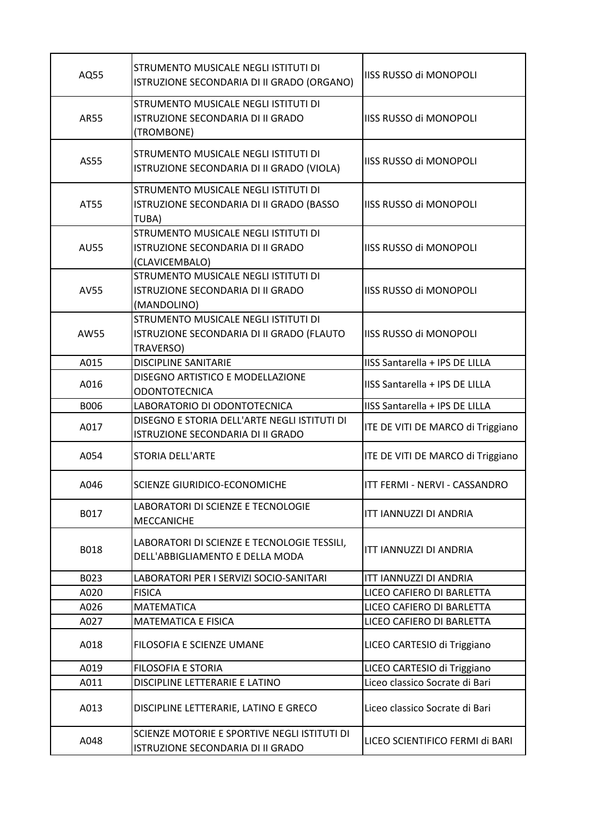| AQ55        | STRUMENTO MUSICALE NEGLI ISTITUTI DI<br>ISTRUZIONE SECONDARIA DI II GRADO (ORGANO)             | <b>IISS RUSSO di MONOPOLI</b>     |
|-------------|------------------------------------------------------------------------------------------------|-----------------------------------|
| <b>AR55</b> | STRUMENTO MUSICALE NEGLI ISTITUTI DI<br>ISTRUZIONE SECONDARIA DI II GRADO<br>(TROMBONE)        | <b>IISS RUSSO di MONOPOLI</b>     |
| AS55        | STRUMENTO MUSICALE NEGLI ISTITUTI DI<br>ISTRUZIONE SECONDARIA DI II GRADO (VIOLA)              | IISS RUSSO di MONOPOLI            |
| AT55        | STRUMENTO MUSICALE NEGLI ISTITUTI DI<br>ISTRUZIONE SECONDARIA DI II GRADO (BASSO<br>TUBA)      | IISS RUSSO di MONOPOLI            |
| <b>AU55</b> | STRUMENTO MUSICALE NEGLI ISTITUTI DI<br>ISTRUZIONE SECONDARIA DI II GRADO<br>(CLAVICEMBALO)    | <b>IISS RUSSO di MONOPOLI</b>     |
| <b>AV55</b> | STRUMENTO MUSICALE NEGLI ISTITUTI DI<br>ISTRUZIONE SECONDARIA DI II GRADO<br>(MANDOLINO)       | <b>IISS RUSSO di MONOPOLI</b>     |
| AW55        | STRUMENTO MUSICALE NEGLI ISTITUTI DI<br>ISTRUZIONE SECONDARIA DI II GRADO (FLAUTO<br>TRAVERSO) | <b>IISS RUSSO di MONOPOLI</b>     |
| A015        | <b>DISCIPLINE SANITARIE</b>                                                                    | IISS Santarella + IPS DE LILLA    |
| A016        | DISEGNO ARTISTICO E MODELLAZIONE<br><b>ODONTOTECNICA</b>                                       | IISS Santarella + IPS DE LILLA    |
| <b>B006</b> | LABORATORIO DI ODONTOTECNICA                                                                   | IISS Santarella + IPS DE LILLA    |
| A017        | DISEGNO E STORIA DELL'ARTE NEGLI ISTITUTI DI<br>ISTRUZIONE SECONDARIA DI II GRADO              | ITE DE VITI DE MARCO di Triggiano |
| A054        | <b>STORIA DELL'ARTE</b>                                                                        | ITE DE VITI DE MARCO di Triggiano |
| A046        | SCIENZE GIURIDICO-ECONOMICHE                                                                   | ITT FERMI - NERVI - CASSANDRO     |
| B017        | LABORATORI DI SCIENZE E TECNOLOGIE<br><b>MECCANICHE</b>                                        | ITT IANNUZZI DI ANDRIA            |
| B018        | LABORATORI DI SCIENZE E TECNOLOGIE TESSILI,<br>DELL'ABBIGLIAMENTO E DELLA MODA                 | ITT IANNUZZI DI ANDRIA            |
| B023        | LABORATORI PER I SERVIZI SOCIO-SANITARI                                                        | ITT IANNUZZI DI ANDRIA            |
| A020        | <b>FISICA</b>                                                                                  | LICEO CAFIERO DI BARLETTA         |
| A026        | <b>MATEMATICA</b>                                                                              | LICEO CAFIERO DI BARLETTA         |
| A027        | <b>MATEMATICA E FISICA</b>                                                                     | LICEO CAFIERO DI BARLETTA         |
| A018        | FILOSOFIA E SCIENZE UMANE                                                                      | LICEO CARTESIO di Triggiano       |
| A019        | <b>FILOSOFIA E STORIA</b>                                                                      | LICEO CARTESIO di Triggiano       |
| A011        | DISCIPLINE LETTERARIE E LATINO                                                                 | Liceo classico Socrate di Bari    |
| A013        | DISCIPLINE LETTERARIE, LATINO E GRECO                                                          | Liceo classico Socrate di Bari    |
| A048        | SCIENZE MOTORIE E SPORTIVE NEGLI ISTITUTI DI<br>ISTRUZIONE SECONDARIA DI II GRADO              | LICEO SCIENTIFICO FERMI di BARI   |